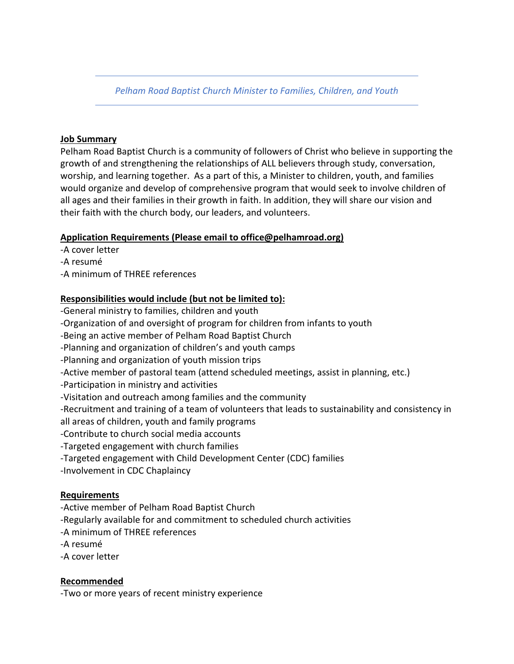*Pelham Road Baptist Church Minister to Families, Children, and Youth*

## **Job Summary**

Pelham Road Baptist Church is a community of followers of Christ who believe in supporting the growth of and strengthening the relationships of ALL believers through study, conversation, worship, and learning together. As a part of this, a Minister to children, youth, and families would organize and develop of comprehensive program that would seek to involve children of all ages and their families in their growth in faith. In addition, they will share our vision and their faith with the church body, our leaders, and volunteers.

## **Application Requirements (Please email to office@pelhamroad.org)**

- -A cover letter
- -A resumé
- -A minimum of THREE references

## **Responsibilities would include (but not be limited to):**

- -General ministry to families, children and youth
- -Organization of and oversight of program for children from infants to youth
- -Being an active member of Pelham Road Baptist Church
- -Planning and organization of children's and youth camps
- -Planning and organization of youth mission trips
- -Active member of pastoral team (attend scheduled meetings, assist in planning, etc.)
- -Participation in ministry and activities
- -Visitation and outreach among families and the community
- -Recruitment and training of a team of volunteers that leads to sustainability and consistency in
- all areas of children, youth and family programs
- -Contribute to church social media accounts
- -Targeted engagement with church families
- -Targeted engagement with Child Development Center (CDC) families
- -Involvement in CDC Chaplaincy

#### **Requirements**

- -Active member of Pelham Road Baptist Church
- -Regularly available for and commitment to scheduled church activities
- -A minimum of THREE references
- -A resumé
- -A cover letter

# **Recommended**

-Two or more years of recent ministry experience